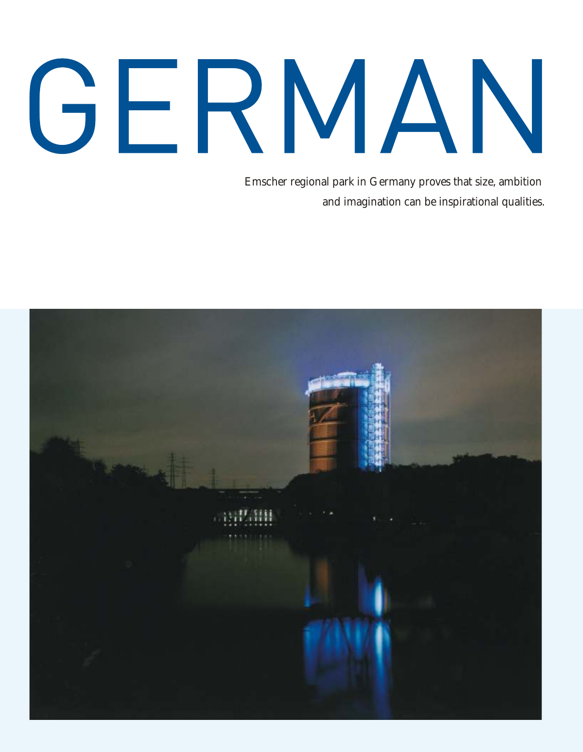## GERMAN

Emscher regional park in Germany proves that size, ambition and imagination can be inspirational qualities .

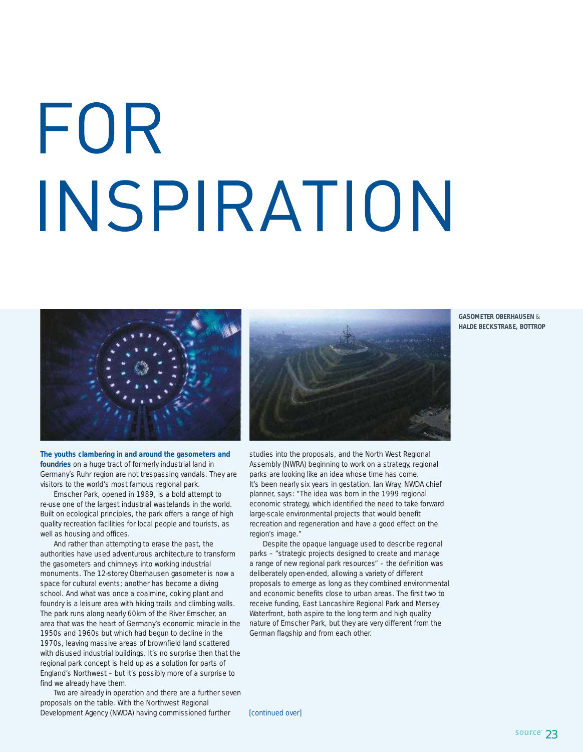## FOR INSPIRATION



**The youths clambering in and around the gasometers and foundries** on a huge tract of formerly industrial land in Germany's Ruhr region are not trespassing vandals. They are visitors to the world's most famous regional park.

Emscher Park, opened in 1989, is a bold attempt to re-use one of the largest industrial wastelands in the world. Built on ecological principles, the park offers a range of high quality recreation facilities for local people and tourists, as well as housing and offices.

And rather than attempting to erase the past, the authorities have used adventurous architecture to transform the gasometers and chimneys into working industrial monuments. The 12-storey Oberhausen gasometer is now a space for cultural events; another has become a diving school. And what was once a coalmine, coking plant and foundry is a leisure area with hiking trails and climbing walls. The park runs along nearly 60km of the River Emscher, an area that was the heart of Germany's economic miracle in the 1950s and 1960s but which had begun to decline in the 1970s, leaving massive areas of brownfield land scattered with disused industrial buildings. It's no surprise then that the regional park concept is held up as a solution for parts of England's Northwest – but it's possibly more of a surprise to find we already have them.

Two are already in operation and there are a further seven proposals on the table. With the Northwest Regional Development Agency (NWDA) having commissioned further

studies into the proposals, and the North West Regional

Assembly (NWRA) beginning to work on a strategy, regional parks are looking like an idea whose time has come. It's been nearly six years in gestation. Ian Wray, NWDA chief planner, says: "The idea was born in the 1999 regional economic strategy, which identified the need to take forward large-scale environmental projects that would benefit recreation and regeneration and have a good effect on the region's image."

Despite the opaque language used to describe regional parks – "strategic projects designed to create and manage a range of new regional park resources" – the definition was deliberately open-ended, allowing a variety of different proposals to emerge as long as they combined environmental and economic benefits close to urban areas. The first two to receive funding, East Lancashire Regional Park and Mersey Waterfront, both aspire to the long term and high quality nature of Emscher Park, but they are very different from the German flagship and from each other.

**GASOMETER OBERHAUSEN** & **HALDE BECKSTRAßE, BOTTROP**

[continued over]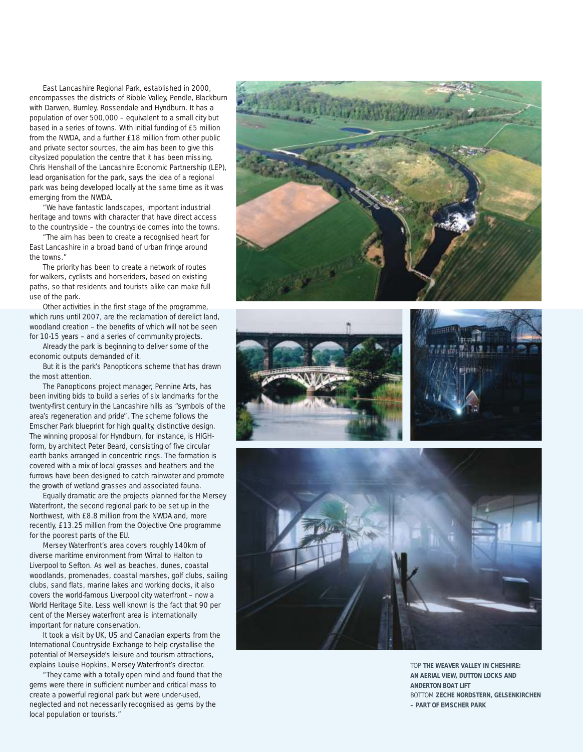East Lancashire Regional Park, established in 2000, encompasses the districts of Ribble Valley, Pendle, Blackburn with Darwen, Burnley, Rossendale and Hyndburn. It has a population of over 500,000 – equivalent to a small city but based in a series of towns. With initial funding of £5 million from the NWDA, and a further £18 million from other public and private sector sources, the aim has been to give this city-sized population the centre that it has been missing. Chris Henshall of the Lancashire Economic Partnership (LEP), lead organisation for the park, says the idea of a regional park was being developed locally at the same time as it was emerging from the NWDA.

"We have fantastic landscapes, important industrial heritage and towns with character that have direct access to the countryside – the countryside comes into the towns.

"The aim has been to create a recognised heart for East Lancashire in a broad band of urban fringe around the towns."

The priority has been to create a network of routes for walkers, cyclists and horseriders, based on existing paths, so that residents and tourists alike can make full use of the park.

Other activities in the first stage of the programme, which runs until 2007, are the reclamation of derelict land, woodland creation – the benefits of which will not be seen for 10-15 years – and a series of community projects.

Already the park is beginning to deliver some of the economic outputs demanded of it.

But it is the park's Panopticons scheme that has drawn the most attention.

The Panopticons project manager, Pennine Arts, has been inviting bids to build a series of six landmarks for the twenty-first century in the Lancashire hills as " symbols of the area's regeneration and pride". The scheme follows the Emscher Park blueprint for high quality, distinctive design. The winning proposal for Hyndburn, for instance, is HIGHform, by architect Peter Beard, consisting of five circular earth banks arranged in concentric rings. The formation is covered with a mix of local grasses and heathers and the furrows have been designed to catch rainwater and promote the growth of wetland grasses and associated fauna.

Equally dramatic are the projects planned for the Mersey Waterfront, the second regional park to be set up in the Northwest, with £8.8 million from the NWDA and, more recently, £13.25 million from the Objective One programme for the poorest parts of the EU.

Mersey Waterfront's area covers roughly 140km of diverse maritime environment from Wirral to Halton to Liverpool to Sefton. As well as beaches, dunes, coastal woodlands, promenades, coastal marshes, golf clubs, sailing clubs, sand flats, marine lakes and working docks, it also covers the world-famous Liverpool city waterfront – now a World Heritage Site. Less well known is the fact that 90 per cent of the Mersey waterfront area is internationally important for nature conservation.

It took a visit by UK, US and Canadian experts from the International Countryside Exchange to help crystallise the explains Louise Hopkins, Mersey Waterfront's director.

"They came with a totally open mind and found that the gems were there in sufficient number and critical mass to create a powerful regional park but were under-used, neglected and not necessarily recognised as gems by the local population or tourists."









TOP **THE WEAVER VALLEY IN CHESHIRE: AN AERIAL VIEW, DUTTON LOCKS AND ANDERTON BOAT LIFT** BOTTOM **ZECHE NORDSTERN, GELSENKIRCHEN – PART OF EMSCHER PARK**